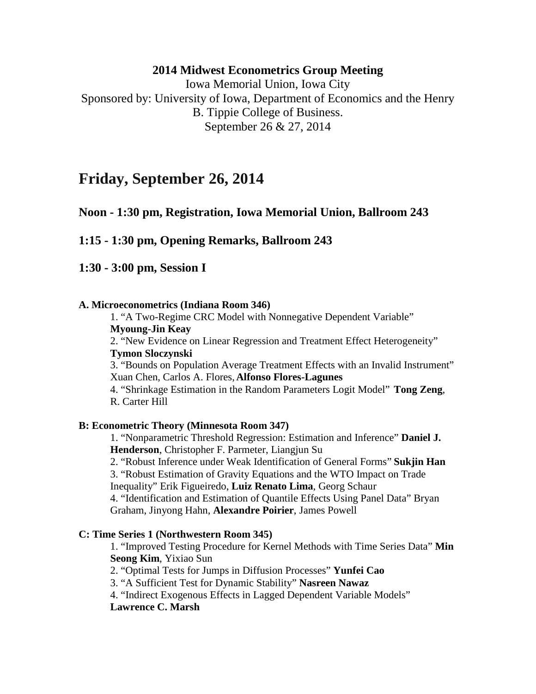## **2014 Midwest Econometrics Group Meeting**

Iowa Memorial Union, Iowa City Sponsored by: University of Iowa, Department of Economics and the Henry B. Tippie College of Business. September 26 & 27, 2014

# **Friday, September 26, 2014**

# **Noon - 1:30 pm, Registration, Iowa Memorial Union, Ballroom 243**

## **1:15 - 1:30 pm, Opening Remarks, Ballroom 243**

## **1:30 - 3:00 pm, Session I**

### **A. Microeconometrics (Indiana Room 346)**

1. "A Two-Regime CRC Model with Nonnegative Dependent Variable" **Myoung-Jin Keay**

2. "New Evidence on Linear Regression and Treatment Effect Heterogeneity"

## **Tymon Sloczynski**

3. "Bounds on Population Average Treatment Effects with an Invalid Instrument" Xuan Chen, Carlos A. Flores, **Alfonso Flores-Lagunes**

4. "Shrinkage Estimation in the Random Parameters Logit Model" **Tong Zeng**, R. Carter Hill

## **B: Econometric Theory (Minnesota Room 347)**

1. "Nonparametric Threshold Regression: Estimation and Inference" **Daniel J. Henderson**, Christopher F. Parmeter, Liangjun Su

2. "Robust Inference under Weak Identification of General Forms" **Sukjin Han** 3. "Robust Estimation of Gravity Equations and the WTO Impact on Trade Inequality" Erik Figueiredo, **Luiz Renato Lima**, Georg Schaur 4. "Identification and Estimation of Quantile Effects Using Panel Data" Bryan Graham, Jinyong Hahn, **Alexandre Poirier**, James Powell

### **C: Time Series 1 (Northwestern Room 345)**

1. "Improved Testing Procedure for Kernel Methods with Time Series Data" **Min Seong Kim**, Yixiao Sun

2. "Optimal Tests for Jumps in Diffusion Processes" **Yunfei Cao**

3. "A Sufficient Test for Dynamic Stability" **Nasreen Nawaz**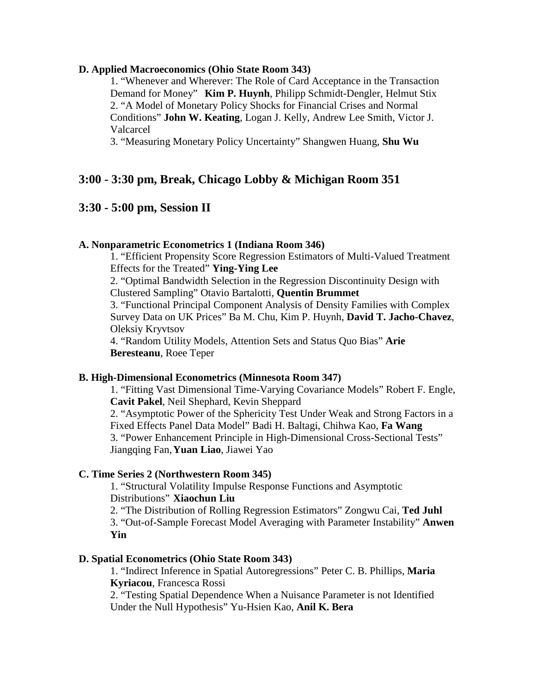### **D. Applied Macroeconomics (Ohio State Room 343)**

1. "Whenever and Wherever: The Role of Card Acceptance in the Transaction Demand for Money" **Kim P. Huynh**, Philipp Schmidt-Dengler, Helmut Stix 2. "A Model of Monetary Policy Shocks for Financial Crises and Normal Conditions" **John W. Keating**, Logan J. Kelly, Andrew Lee Smith, Victor J. Valcarcel

3. "Measuring Monetary Policy Uncertainty" Shangwen Huang, **Shu Wu**

# **3:00 - 3:30 pm, Break, Chicago Lobby & Michigan Room 351**

## **3:30 - 5:00 pm, Session II**

### **A. Nonparametric Econometrics 1 (Indiana Room 346)**

1. "Efficient Propensity Score Regression Estimators of Multi-Valued Treatment Effects for the Treated" **Ying-Ying Lee**

2. "Optimal Bandwidth Selection in the Regression Discontinuity Design with Clustered Sampling" Otavio Bartalotti, **Quentin Brummet**

3. "Functional Principal Component Analysis of Density Families with Complex Survey Data on UK Prices" Ba M. Chu, Kim P. Huynh, **David T. Jacho-Chavez**, Oleksiy Kryvtsov

4. "Random Utility Models, Attention Sets and Status Quo Bias" **Arie Beresteanu**, Roee Teper

### **B. High-Dimensional Econometrics (Minnesota Room 347)**

1. "Fitting Vast Dimensional Time-Varying Covariance Models" Robert F. Engle, **Cavit Pakel**, Neil Shephard, Kevin Sheppard

2. "Asymptotic Power of the Sphericity Test Under Weak and Strong Factors in a Fixed Effects Panel Data Model" Badi H. Baltagi, Chihwa Kao, **Fa Wang** 3. "Power Enhancement Principle in High-Dimensional Cross-Sectional Tests" Jiangqing Fan,**Yuan Liao**, Jiawei Yao

### **C. Time Series 2 (Northwestern Room 345)**

1. "Structural Volatility Impulse Response Functions and Asymptotic Distributions" **Xiaochun Liu**

2. "The Distribution of Rolling Regression Estimators" Zongwu Cai, **Ted Juhl**

3. "Out-of-Sample Forecast Model Averaging with Parameter Instability" **Anwen Yin**

### **D. Spatial Econometrics (Ohio State Room 343)**

1. "Indirect Inference in Spatial Autoregressions" Peter C. B. Phillips, **Maria Kyriacou**, Francesca Rossi

2. "Testing Spatial Dependence When a Nuisance Parameter is not Identified Under the Null Hypothesis" Yu-Hsien Kao, **Anil K. Bera**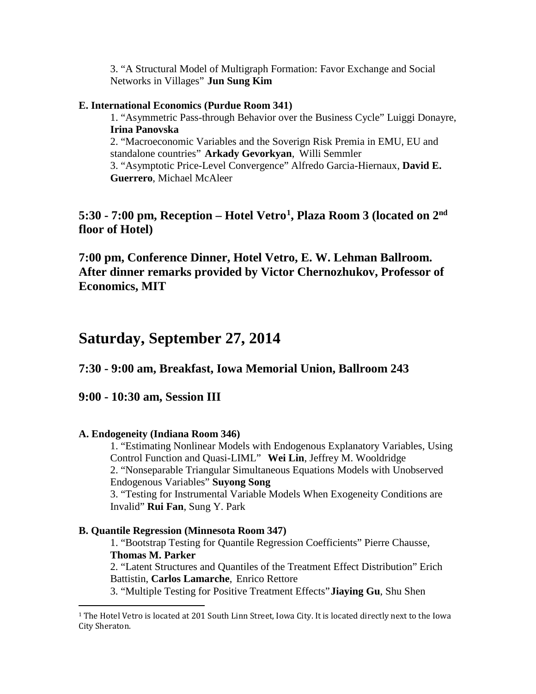3. "A Structural Model of Multigraph Formation: Favor Exchange and Social Networks in Villages" **Jun Sung Kim**

## **E. International Economics (Purdue Room 341)**

1. "Asymmetric Pass-through Behavior over the Business Cycle" Luiggi Donayre, **Irina Panovska**

2. "Macroeconomic Variables and the Soverign Risk Premia in EMU, EU and standalone countries" **Arkady Gevorkyan**, Willi Semmler

3. "Asymptotic Price-Level Convergence" Alfredo Garcia-Hiernaux, **David E. Guerrero**, Michael McAleer

# **5:30 - 7:00 pm, Reception – Hotel Vetro[1](#page-2-0) , Plaza Room 3 (located on 2nd floor of Hotel)**

**7:00 pm, Conference Dinner, Hotel Vetro, E. W. Lehman Ballroom. After dinner remarks provided by Victor Chernozhukov, Professor of Economics, MIT**

# **Saturday, September 27, 2014**

# **7:30 - 9:00 am, Breakfast, Iowa Memorial Union, Ballroom 243**

## **9:00 - 10:30 am, Session III**

## **A. Endogeneity (Indiana Room 346)**

1. "Estimating Nonlinear Models with Endogenous Explanatory Variables, Using Control Function and Quasi-LIML" **Wei Lin**, Jeffrey M. Wooldridge 2. "Nonseparable Triangular Simultaneous Equations Models with Unobserved Endogenous Variables" **Suyong Song** 3. "Testing for Instrumental Variable Models When Exogeneity Conditions are Invalid" **Rui Fan**, Sung Y. Park

## **B. Quantile Regression (Minnesota Room 347)**

1. "Bootstrap Testing for Quantile Regression Coefficients" Pierre Chausse, **Thomas M. Parker**

2. "Latent Structures and Quantiles of the Treatment Effect Distribution" Erich Battistin, **Carlos Lamarche**, Enrico Rettore

3. "Multiple Testing for Positive Treatment Effects"**Jiaying Gu**, Shu Shen

<span id="page-2-0"></span><sup>1</sup> The Hotel Vetro is located at 201 South Linn Street, Iowa City. It is located directly next to the Iowa City Sheraton. I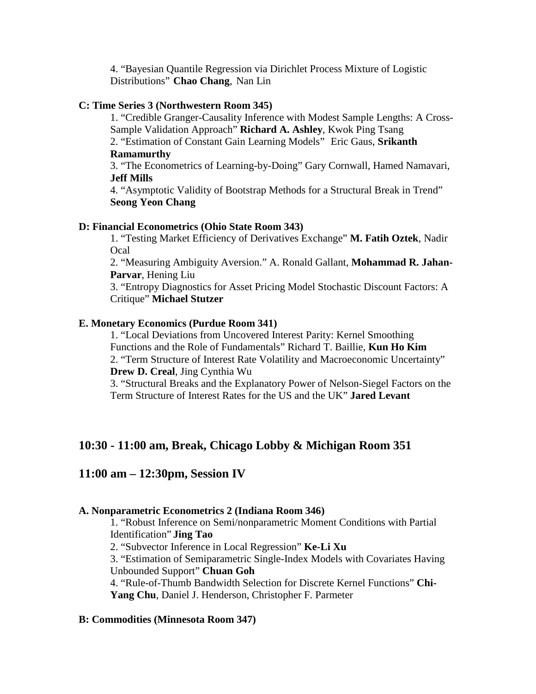4. "Bayesian Quantile Regression via Dirichlet Process Mixture of Logistic Distributions" **Chao Chang**, Nan Lin

### **C: Time Series 3 (Northwestern Room 345)**

1. "Credible Granger-Causality Inference with Modest Sample Lengths: A Cross-Sample Validation Approach" **Richard A. Ashley**, Kwok Ping Tsang

2. "Estimation of Constant Gain Learning Models" Eric Gaus, **Srikanth Ramamurthy**

## 3. "The Econometrics of Learning-by-Doing" Gary Cornwall, Hamed Namavari, **Jeff Mills**

4. "Asymptotic Validity of Bootstrap Methods for a Structural Break in Trend" **Seong Yeon Chang**

## **D: Financial Econometrics (Ohio State Room 343)**

1. "Testing Market Efficiency of Derivatives Exchange" **M. Fatih Oztek**, Nadir **Ocal** 

2. "Measuring Ambiguity Aversion." A. Ronald Gallant, **Mohammad R. Jahan-Parvar**, Hening Liu

3. "Entropy Diagnostics for Asset Pricing Model Stochastic Discount Factors: A Critique" **Michael Stutzer**

## **E. Monetary Economics (Purdue Room 341)**

1. "Local Deviations from Uncovered Interest Parity: Kernel Smoothing Functions and the Role of Fundamentals" Richard T. Baillie, **Kun Ho Kim** 2. "Term Structure of Interest Rate Volatility and Macroeconomic Uncertainty" **Drew D. Creal**, Jing Cynthia Wu

3. "Structural Breaks and the Explanatory Power of Nelson-Siegel Factors on the Term Structure of Interest Rates for the US and the UK" **Jared Levant**

# **10:30 - 11:00 am, Break, Chicago Lobby & Michigan Room 351**

## **11:00 am – 12:30pm, Session IV**

## **A. Nonparametric Econometrics 2 (Indiana Room 346)**

1. "Robust Inference on Semi/nonparametric Moment Conditions with Partial Identification" **Jing Tao**

2. "Subvector Inference in Local Regression" **Ke-Li Xu**

3. "Estimation of Semiparametric Single-Index Models with Covariates Having Unbounded Support" **Chuan Goh**

4. "Rule-of-Thumb Bandwidth Selection for Discrete Kernel Functions" **Chi-Yang Chu**, Daniel J. Henderson, Christopher F. Parmeter

## **B: Commodities (Minnesota Room 347)**